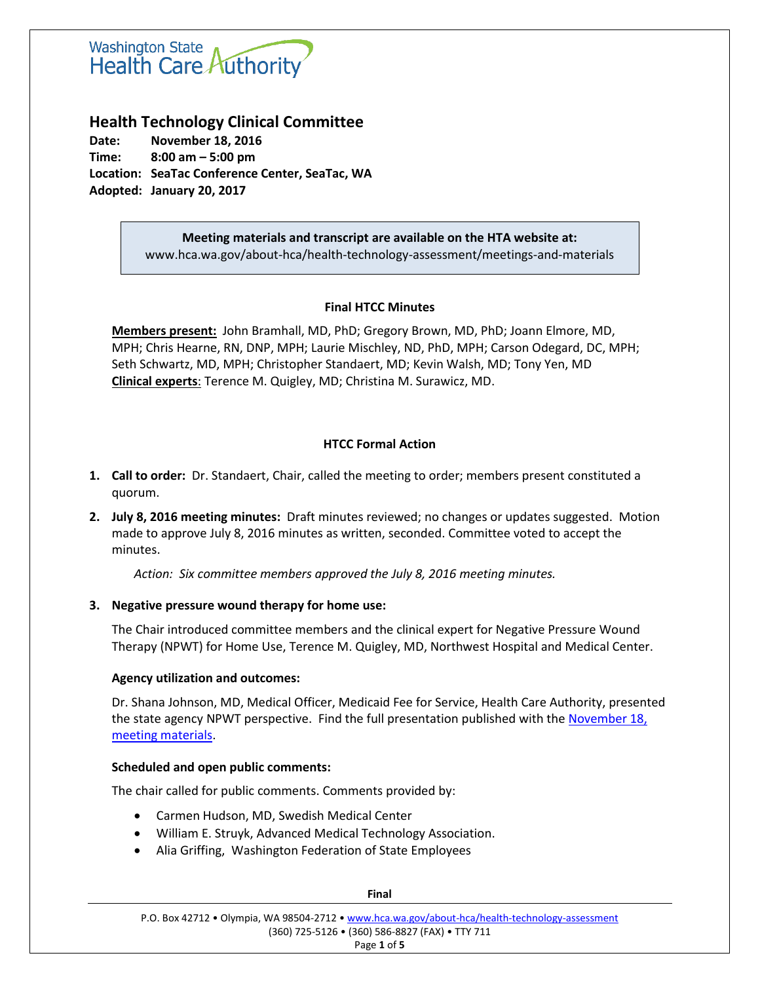# **Washington State** Health Care Authority

# **Health Technology Clinical Committee**

**Date: November 18, 2016 Time: 8:00 am – 5:00 pm Location: SeaTac Conference Center, SeaTac, WA Adopted: January 20, 2017**

> **Meeting materials and transcript are available on the HTA website at:** www.hca.wa.gov/about-hca/health-technology-assessment/meetings-and-materials

### **Final HTCC Minutes**

**Members present:** John Bramhall, MD, PhD; Gregory Brown, MD, PhD; Joann Elmore, MD, MPH; Chris Hearne, RN, DNP, MPH; Laurie Mischley, ND, PhD, MPH; Carson Odegard, DC, MPH; Seth Schwartz, MD, MPH; Christopher Standaert, MD; Kevin Walsh, MD; Tony Yen, MD **Clinical experts**: Terence M. Quigley, MD; Christina M. Surawicz, MD.

## **HTCC Formal Action**

- **1. Call to order:** Dr. Standaert, Chair, called the meeting to order; members present constituted a quorum.
- **2. July 8, 2016 meeting minutes:** Draft minutes reviewed; no changes or updates suggested. Motion made to approve July 8, 2016 minutes as written, seconded. Committee voted to accept the minutes.

*Action: Six committee members approved the July 8, 2016 meeting minutes.*

#### **3. Negative pressure wound therapy for home use:**

The Chair introduced committee members and the clinical expert for Negative Pressure Wound Therapy (NPWT) for Home Use, Terence M. Quigley, MD, Northwest Hospital and Medical Center.

#### **Agency utilization and outcomes:**

Dr. Shana Johnson, MD, Medical Officer, Medicaid Fee for Service, Health Care Authority, presented the state agency NPWT perspective. Find the full presentation published with the [November 18,](http://www.hca.wa.gov/about-hca/health-technology-assessment/meetings-and-materials) [meeting materials.](http://www.hca.wa.gov/about-hca/health-technology-assessment/meetings-and-materials)

#### **Scheduled and open public comments:**

The chair called for public comments. Comments provided by:

- Carmen Hudson, MD, Swedish Medical Center
- William E. Struyk, Advanced Medical Technology Association.
- Alia Griffing, Washington Federation of State Employees

P.O. Box 42712 • Olympia, WA 98504-2712 • [www.hca.wa.gov/about-hca/health-technology-assessment](http://www.hca.wa.gov/about-hca/health-technology-assessment) (360) 725-5126 • (360) 586-8827 (FAX) • TTY 711 Page **1** of **5**

**Final**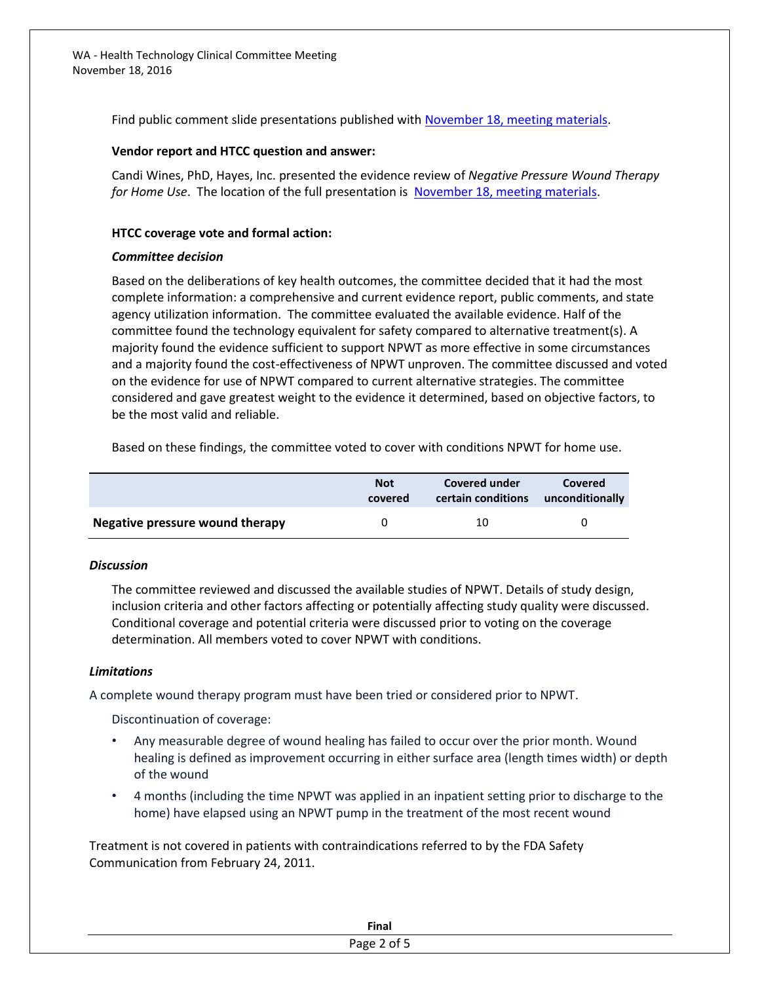Find public comment slide presentations published with [November 18, meeting materials.](http://www.hca.wa.gov/about-hca/health-technology-assessment/meetings-and-materials)

#### **Vendor report and HTCC question and answer:**

Candi Wines, PhD, Hayes, Inc. presented the evidence review of *Negative Pressure Wound Therapy for Home Use*. The location of the full presentation is [November 18, meeting materials.](http://www.hca.wa.gov/about-hca/health-technology-assessment/meetings-and-materials)

#### **HTCC coverage vote and formal action:**

#### *Committee decision*

Based on the deliberations of key health outcomes, the committee decided that it had the most complete information: a comprehensive and current evidence report, public comments, and state agency utilization information. The committee evaluated the available evidence. Half of the committee found the technology equivalent for safety compared to alternative treatment(s). A majority found the evidence sufficient to support NPWT as more effective in some circumstances and a majority found the cost-effectiveness of NPWT unproven. The committee discussed and voted on the evidence for use of NPWT compared to current alternative strategies. The committee considered and gave greatest weight to the evidence it determined, based on objective factors, to be the most valid and reliable.

Based on these findings, the committee voted to cover with conditions NPWT for home use.

|                                 | <b>Not</b><br>covered | Covered under<br>certain conditions unconditionally | Covered |
|---------------------------------|-----------------------|-----------------------------------------------------|---------|
| Negative pressure wound therapy |                       | 10                                                  |         |

#### *Discussion*

The committee reviewed and discussed the available studies of NPWT. Details of study design, inclusion criteria and other factors affecting or potentially affecting study quality were discussed. Conditional coverage and potential criteria were discussed prior to voting on the coverage determination. All members voted to cover NPWT with conditions.

#### *Limitations*

A complete wound therapy program must have been tried or considered prior to NPWT.

Discontinuation of coverage:

- Any measurable degree of wound healing has failed to occur over the prior month. Wound healing is defined as improvement occurring in either surface area (length times width) or depth of the wound
- 4 months (including the time NPWT was applied in an inpatient setting prior to discharge to the home) have elapsed using an NPWT pump in the treatment of the most recent wound

Treatment is not covered in patients with contraindications referred to by the FDA Safety Communication from February 24, 2011.

| Final               |
|---------------------|
| $\sim$<br>ωŦ<br>- - |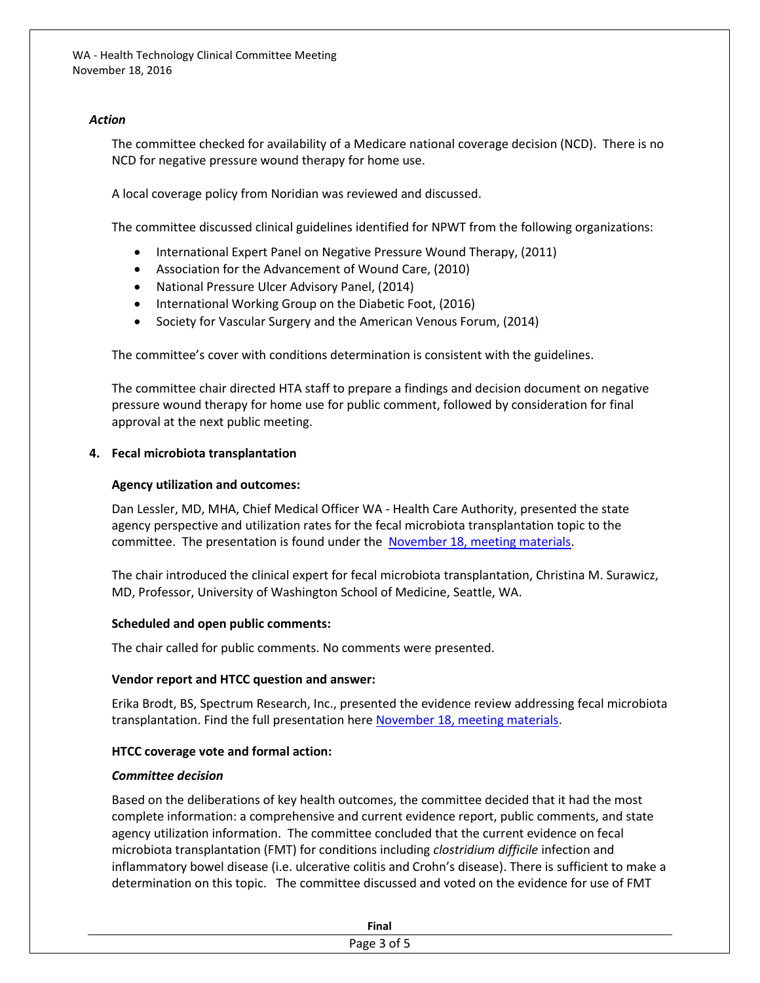#### *Action*

The committee checked for availability of a Medicare national coverage decision (NCD). There is no NCD for negative pressure wound therapy for home use.

A local coverage policy from Noridian was reviewed and discussed.

The committee discussed clinical guidelines identified for NPWT from the following organizations:

- International Expert Panel on Negative Pressure Wound Therapy, (2011)
- Association for the Advancement of Wound Care, (2010)
- National Pressure Ulcer Advisory Panel, (2014)
- International Working Group on the Diabetic Foot, (2016)
- Society for Vascular Surgery and the American Venous Forum, (2014)

The committee's cover with conditions determination is consistent with the guidelines.

The committee chair directed HTA staff to prepare a findings and decision document on negative pressure wound therapy for home use for public comment, followed by consideration for final approval at the next public meeting.

#### **4. Fecal microbiota transplantation**

#### **Agency utilization and outcomes:**

Dan Lessler, MD, MHA, Chief Medical Officer WA - Health Care Authority, presented the state agency perspective and utilization rates for the fecal microbiota transplantation topic to the committee. The presentation is found under the [November 18, meeting materials.](http://www.hca.wa.gov/about-hca/health-technology-assessment/meetings-and-materials)

The chair introduced the clinical expert for fecal microbiota transplantation, Christina M. Surawicz, MD, Professor, University of Washington School of Medicine, Seattle, WA.

#### **Scheduled and open public comments:**

The chair called for public comments. No comments were presented.

#### **Vendor report and HTCC question and answer:**

Erika Brodt, BS, Spectrum Research, Inc., presented the evidence review addressing fecal microbiota transplantation. Find the full presentation here [November 18, meeting materials.](http://www.hca.wa.gov/about-hca/health-technology-assessment/meetings-and-materials)

#### **HTCC coverage vote and formal action:**

#### *Committee decision*

Based on the deliberations of key health outcomes, the committee decided that it had the most complete information: a comprehensive and current evidence report, public comments, and state agency utilization information. The committee concluded that the current evidence on fecal microbiota transplantation (FMT) for conditions including *clostridium difficile* infection and inflammatory bowel disease (i.e. ulcerative colitis and Crohn's disease). There is sufficient to make a determination on this topic. The committee discussed and voted on the evidence for use of FMT

|           | <b>Final</b> |  |
|-----------|--------------|--|
| - -<br>۱т |              |  |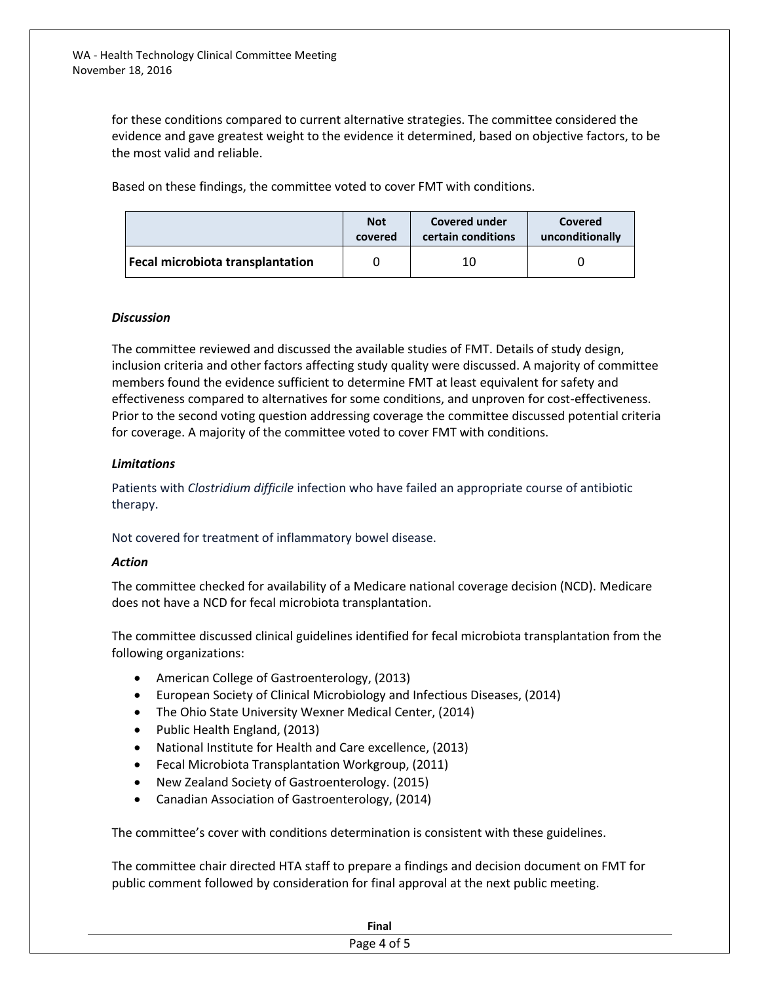> for these conditions compared to current alternative strategies. The committee considered the evidence and gave greatest weight to the evidence it determined, based on objective factors, to be the most valid and reliable.

Based on these findings, the committee voted to cover FMT with conditions.

|                                         | <b>Not</b> | Covered under      | Covered         |
|-----------------------------------------|------------|--------------------|-----------------|
|                                         | covered    | certain conditions | unconditionally |
| <b>Fecal microbiota transplantation</b> |            | 10                 |                 |

#### *Discussion*

The committee reviewed and discussed the available studies of FMT. Details of study design, inclusion criteria and other factors affecting study quality were discussed. A majority of committee members found the evidence sufficient to determine FMT at least equivalent for safety and effectiveness compared to alternatives for some conditions, and unproven for cost-effectiveness. Prior to the second voting question addressing coverage the committee discussed potential criteria for coverage. A majority of the committee voted to cover FMT with conditions.

#### *Limitations*

Patients with *Clostridium difficile* infection who have failed an appropriate course of antibiotic therapy.

Not covered for treatment of inflammatory bowel disease.

#### *Action*

The committee checked for availability of a Medicare national coverage decision (NCD). Medicare does not have a NCD for fecal microbiota transplantation.

The committee discussed clinical guidelines identified for fecal microbiota transplantation from the following organizations:

- American College of Gastroenterology, (2013)
- European Society of Clinical Microbiology and Infectious Diseases, (2014)
- The Ohio State University Wexner Medical Center, (2014)
- Public Health England, (2013)
- National Institute for Health and Care excellence, (2013)
- Fecal Microbiota Transplantation Workgroup, (2011)
- New Zealand Society of Gastroenterology. (2015)
- Canadian Association of Gastroenterology, (2014)

The committee's cover with conditions determination is consistent with these guidelines.

The committee chair directed HTA staff to prepare a findings and decision document on FMT for public comment followed by consideration for final approval at the next public meeting.

| Fina. |
|-------|
|       |